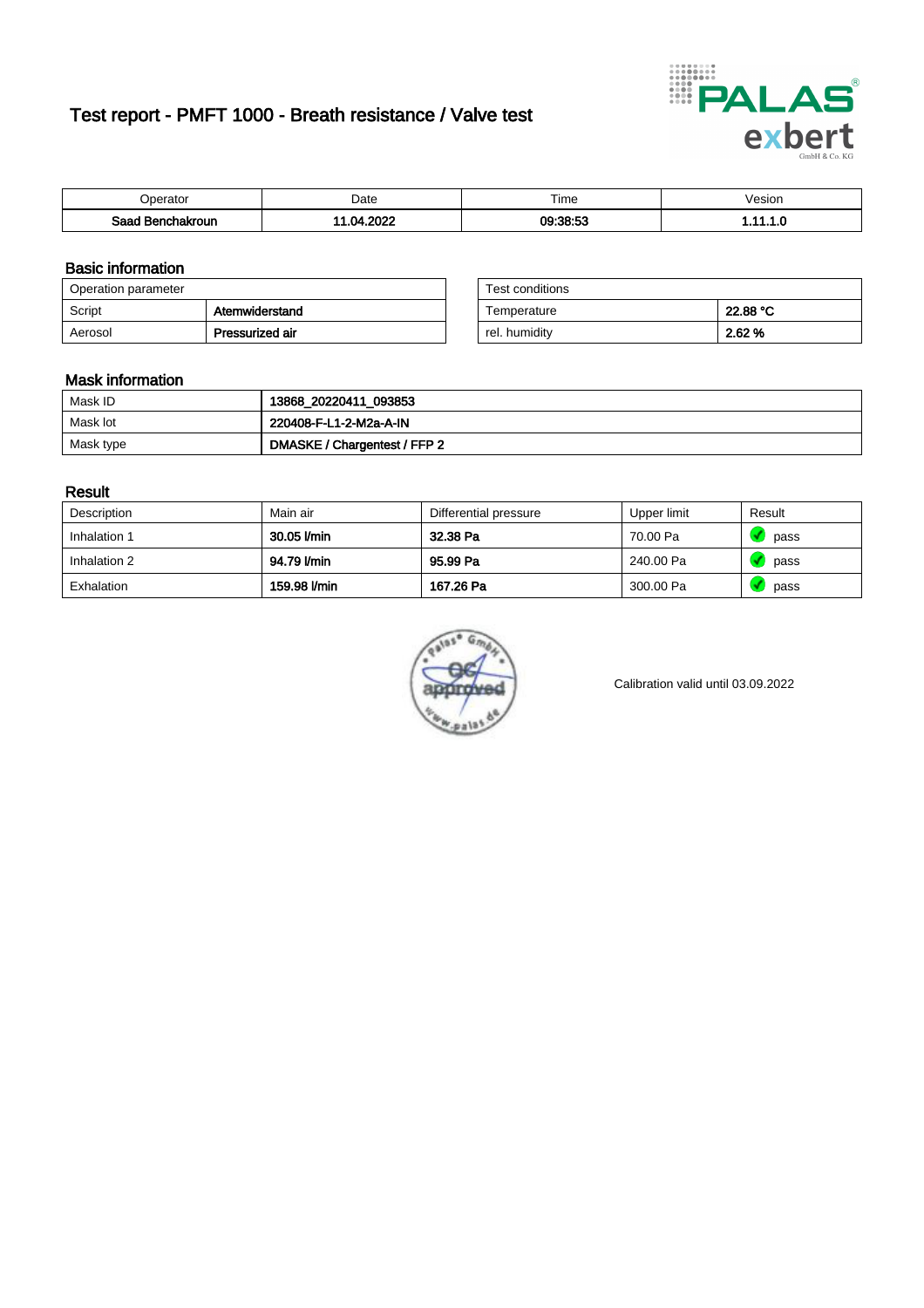# Test report - PMFT 1000 - Breath resistance / Valve test



| <b>'</b> perator               | Date       | $- \cdot$<br><b>Time</b> | /esion |
|--------------------------------|------------|--------------------------|--------|
| Saad<br><b>chakroun</b><br>. . | יממה<br>nл | 09:38:53<br>US.          | .      |

### Basic information

| Operation parameter |                 | Test conditions |          |
|---------------------|-----------------|-----------------|----------|
| Script              | Atemwiderstand  | Temperature     | 22.88 °C |
| Aerosol             | Pressurized air | rel. humiditv   | 2.62 %   |

| Test conditions |          |
|-----------------|----------|
| Temperature     | 22.88 °C |
| rel. humidity   | 2.62%    |

#### Mask information

| Mask ID   | 13868_20220411_093853        |
|-----------|------------------------------|
| Mask lot  | 220408-F-L1-2-M2a-A-IN       |
| Mask type | DMASKE / Chargentest / FFP 2 |

### Result

| Description  | Main air     | Differential pressure | Upper limit | Result |
|--------------|--------------|-----------------------|-------------|--------|
| Inhalation 1 | 30.05 l/min  | 32.38 Pa              | 70.00 Pa    | pass   |
| Inhalation 2 | 94.79 l/min  | 95.99 Pa              | 240.00 Pa   | pass   |
| Exhalation   | 159.98 l/min | 167.26 Pa             | 300.00 Pa   | pass   |



Calibration valid until 03.09.2022